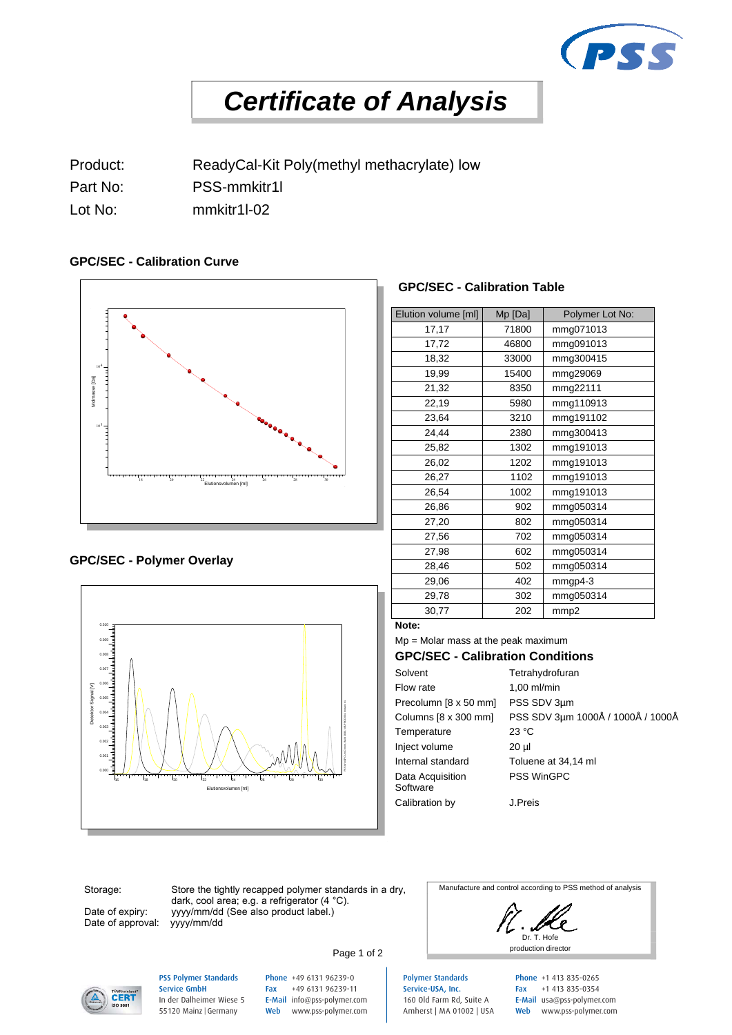

# *Certificate of Analysis*

Product: ReadyCal-Kit Poly(methyl methacrylate) low

- Part No: PSS-mmkitr1l
- Lot No: mmkitr1l-02

### **GPC/SEC - Calibration Curve**



### **GPC/SEC - Polymer Overlay**



### **GPC/SEC - Calibration Table**

| Elution volume [ml] | Mp [Da] | Polymer Lot No: |  |
|---------------------|---------|-----------------|--|
| 17,17               | 71800   | mmg071013       |  |
| 17,72               | 46800   | mmg091013       |  |
| 18,32               | 33000   | mmg300415       |  |
| 19,99               | 15400   | mmg29069        |  |
| 21,32               | 8350    | mmg22111        |  |
| 22,19               | 5980    | mmg110913       |  |
| 23,64               | 3210    | mmg191102       |  |
| 24,44               | 2380    | mmg300413       |  |
| 25,82               | 1302    | mmg191013       |  |
| 26,02               | 1202    | mmg191013       |  |
| 26,27               | 1102    | mmg191013       |  |
| 26,54               | 1002    | mmg191013       |  |
| 26,86               | 902     | mmg050314       |  |
| 27,20               | 802     | mmg050314       |  |
| 27,56               | 702     | mmg050314       |  |
| 27,98               | 602     | mmg050314       |  |
| 28,46               | 502     | mmg050314       |  |
| 29,06               | 402     | $mmp4-3$        |  |
| 29,78               | 302     | mmg050314       |  |
| 30,77               | 202     | mmp2            |  |
| Note:               |         |                 |  |

Mp = Molar mass at the peak maximum

### **GPC/SEC - Calibration Conditions**

| $1.00$ ml/min<br>Flow rate<br>PSS SDV 3um<br>Precolumn [8 x 50 mm]<br>PSS SDV 3µm 1000Å / 1000Å / 1000Å |
|---------------------------------------------------------------------------------------------------------|
|                                                                                                         |
|                                                                                                         |
| Columns [8 x 300 mm]                                                                                    |
| 23 °C<br>Temperature                                                                                    |
| Inject volume<br>20 ul                                                                                  |
| Internal standard<br>Toluene at 34,14 ml                                                                |
| <b>PSS WinGPC</b><br>Data Acquisition<br>Software                                                       |
| Calibration by<br>J.Preis                                                                               |

Storage:

Date of expiry: Date of approval:

Store the tightly recapped polymer standards in a dry, dark, cool area; e.g. a refrigerator (4 °C). yyyy/mm/dd (See also product label.)<br>yyyy/mm/dd

Manufacture and control according to PSS method of analysis

Dr. T. Hofe Page 1 of 2



### PSS Polymer Standards Service GmbH In der Dalheimer Wiese 5 55120 Mainz |Germany

Phone +49 6131 96239-0 Fax +49 6131 96239-11 E-Mail info@pss-polymer.com Web www.pss-polymer.com

Polymer Standards Service-USA, Inc. 160 Old Farm Rd, Suite A Amherst | MA 01002 | USA Phone +1 413 835-0265 Fax +1 413 835-0354 E-Mail usa@pss-polymer.com Web www.pss-polymer.com